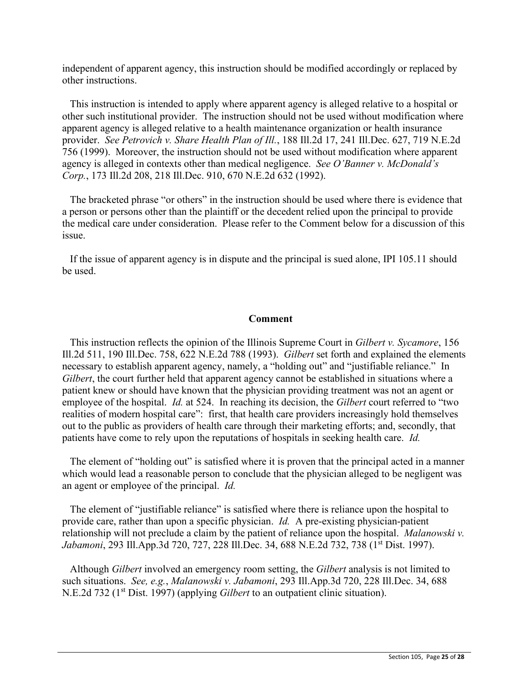independent of apparent agency, this instruction should be modified accordingly or replaced by other instructions.

 $\Box$  This instruction is intended to apply where apparent agency is alleged relative to a hospital or other such institutional provider. The instruction should not be used without modification where apparent agency is alleged relative to a health maintenance organization or health insurance provider. *See Petrovich v. Share Health Plan of Ill.*, 188 Ill.2d 17, 241 Ill.Dec. 627, 719 N.E.2d 756 (1999). Moreover, the instruction should not be used without modification where apparent agency is alleged in contexts other than medical negligence. *See O'Banner v*. *McDonald's Corp.*, 173 Ill.2d 208, 218 Ill.Dec. 910, 670 N.E.2d 632 (1992).

 $\Box$  The bracketed phrase "or others" in the instruction should be used where there is evidence that a person or persons other than the plaintiff or the decedent relied upon the principal to provide the medical care under consideration. Please refer to the Comment below for a discussion of this issue.

 $\Box$  If the issue of apparent agency is in dispute and the principal is sued alone, IPI 105.11 should be used.

## **Comment**

 This instruction reflects the opinion of the Illinois Supreme Court in *Gilbert v. Sycamore*, 156 Ill.2d 511, 190 Ill.Dec. 758, 622 N.E.2d 788 (1993). *Gilbert* set forth and explained the elements necessary to establish apparent agency, namely, a "holding out" and "justifiable reliance." In *Gilbert*, the court further held that apparent agency cannot be established in situations where a patient knew or should have known that the physician providing treatment was not an agent or employee of the hospital. *Id.* at 524. In reaching its decision, the *Gilbert* court referred to "two realities of modern hospital care": first, that health care providers increasingly hold themselves out to the public as providers of health care through their marketing efforts; and, secondly, that patients have come to rely upon the reputations of hospitals in seeking health care. *Id.*

 $\Box$  The element of "holding out" is satisfied where it is proven that the principal acted in a manner which would lead a reasonable person to conclude that the physician alleged to be negligent was an agent or employee of the principal. *Id.*

 $\Box$  The element of "justifiable reliance" is satisfied where there is reliance upon the hospital to provide care, rather than upon a specific physician. *Id.* A pre-existing physician-patient relationship will not preclude a claim by the patient of reliance upon the hospital. *Malanowski v.*  Jabamoni, 293 Ill.App.3d 720, 727, 228 Ill.Dec. 34, 688 N.E.2d 732, 738 (1<sup>st</sup> Dist. 1997).

 Although *Gilbert* involved an emergency room setting, the *Gilbert* analysis is not limited to such situations. *See, e.g.*, *Malanowski v. Jabamoni*, 293 Ill.App.3d 720, 228 Ill.Dec. 34, 688 N.E.2d 732 (1st Dist. 1997) (applying *Gilbert* to an outpatient clinic situation).

 $\_$  ,  $\_$  ,  $\_$  ,  $\_$  ,  $\_$  ,  $\_$  ,  $\_$  ,  $\_$  ,  $\_$  ,  $\_$  ,  $\_$  ,  $\_$  ,  $\_$  ,  $\_$  ,  $\_$  ,  $\_$  ,  $\_$  ,  $\_$  ,  $\_$  ,  $\_$  ,  $\_$  ,  $\_$  ,  $\_$  ,  $\_$  ,  $\_$  ,  $\_$  ,  $\_$  ,  $\_$  ,  $\_$  ,  $\_$  ,  $\_$  ,  $\_$  ,  $\_$  ,  $\_$  ,  $\_$  ,  $\_$  ,  $\_$  ,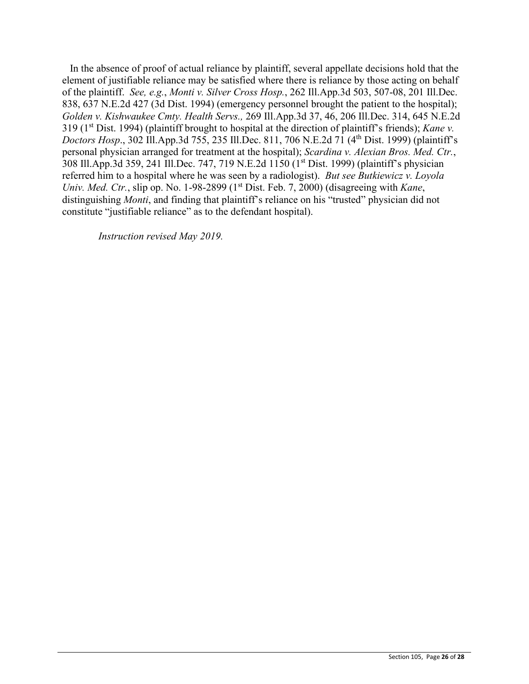In the absence of proof of actual reliance by plaintiff, several appellate decisions hold that the element of justifiable reliance may be satisfied where there is reliance by those acting on behalf of the plaintiff. *See, e.g.*, *Monti v. Silver Cross Hosp.*, 262 Ill.App.3d 503, 507-08, 201 Ill.Dec. 838, 637 N.E.2d 427 (3d Dist. 1994) (emergency personnel brought the patient to the hospital); *Golden v. Kishwaukee Cmty. Health Servs.,* 269 Ill.App.3d 37, 46, 206 Ill.Dec. 314, 645 N.E.2d 319 (1<sup>st</sup> Dist. 1994) (plaintiff brought to hospital at the direction of plaintiff's friends); *Kane v. Doctors Hosp.*, 302 Ill.App.3d 755, 235 Ill.Dec. 811, 706 N.E.2d 71 (4<sup>th</sup> Dist. 1999) (plaintiff's personal physician arranged for treatment at the hospital); *Scardina v. Alexian Bros. Med. Ctr.*, 308 Ill.App.3d 359, 241 Ill.Dec. 747, 719 N.E.2d 1150 (1<sup>st</sup> Dist. 1999) (plaintiff's physician referred him to a hospital where he was seen by a radiologist). *But see Butkiewicz v. Loyola Univ. Med. Ctr.*, slip op. No. 1-98-2899 (1<sup>st</sup> Dist. Feb. 7, 2000) (disagreeing with *Kane*, distinguishing *Monti*, and finding that plaintiff's reliance on his "trusted" physician did not constitute "justifiable reliance" as to the defendant hospital).

 $\_$  ,  $\_$  ,  $\_$  ,  $\_$  ,  $\_$  ,  $\_$  ,  $\_$  ,  $\_$  ,  $\_$  ,  $\_$  ,  $\_$  ,  $\_$  ,  $\_$  ,  $\_$  ,  $\_$  ,  $\_$  ,  $\_$  ,  $\_$  ,  $\_$  ,  $\_$  ,  $\_$  ,  $\_$  ,  $\_$  ,  $\_$  ,  $\_$  ,  $\_$  ,  $\_$  ,  $\_$  ,  $\_$  ,  $\_$  ,  $\_$  ,  $\_$  ,  $\_$  ,  $\_$  ,  $\_$  ,  $\_$  ,  $\_$  ,

*Instruction revised May 2019.*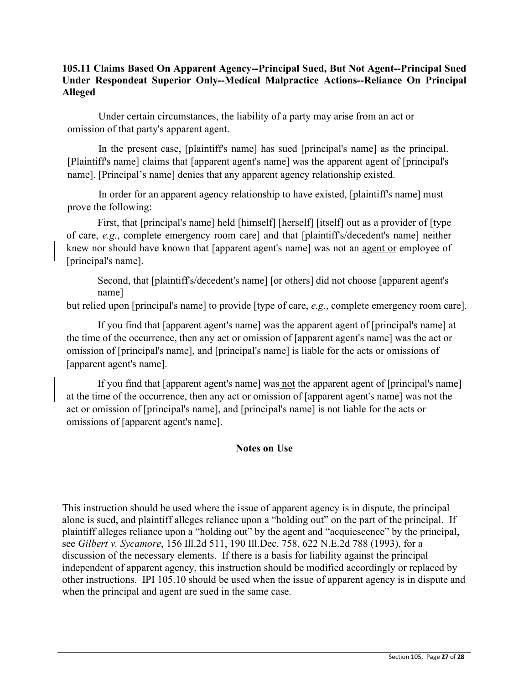## **105.11 Claims Based On Apparent Agency--Principal Sued, But Not Agent--Principal Sued Under Respondeat Superior Only--Medical Malpractice Actions--Reliance On Principal Alleged**

Under certain circumstances, the liability of a party may arise from an act or omission of that party's apparent agent.

In the present case, [plaintiff's name] has sued [principal's name] as the principal. [Plaintiff's name] claims that [apparent agent's name] was the apparent agent of [principal's name]. [Principal's name] denies that any apparent agency relationship existed.

In order for an apparent agency relationship to have existed, [plaintiff's name] must prove the following:

First, that [principal's name] held [himself] [herself] [itself] out as a provider of [type of care, *e.g.*, complete emergency room care] and that [plaintiff's/decedent's name] neither knew nor should have known that [apparent agent's name] was not an agent or employee of [principal's name].

Second, that [plaintiff's/decedent's name] [or others] did not choose [apparent agent's name]

but relied upon [principal's name] to provide [type of care, *e.g.*, complete emergency room care].

If you find that [apparent agent's name] was the apparent agent of [principal's name] at the time of the occurrence, then any act or omission of [apparent agent's name] was the act or omission of [principal's name], and [principal's name] is liable for the acts or omissions of [apparent agent's name].

If you find that [apparent agent's name] was not the apparent agent of [principal's name] at the time of the occurrence, then any act or omission of [apparent agent's name] was not the act or omission of [principal's name], and [principal's name] is not liable for the acts or omissions of [apparent agent's name].

## **Notes on Use**

This instruction should be used where the issue of apparent agency is in dispute, the principal alone is sued, and plaintiff alleges reliance upon a "holding out" on the part of the principal. If plaintiff alleges reliance upon a "holding out" by the agent and "acquiescence" by the principal, see *Gilbert v. Sycamore*, 156 Ill.2d 511, 190 Ill.Dec. 758, 622 N.E.2d 788 (1993), for a discussion of the necessary elements. If there is a basis for liability against the principal independent of apparent agency, this instruction should be modified accordingly or replaced by other instructions. IPI 105.10 should be used when the issue of apparent agency is in dispute and when the principal and agent are sued in the same case.

 $\_$  ,  $\_$  ,  $\_$  ,  $\_$  ,  $\_$  ,  $\_$  ,  $\_$  ,  $\_$  ,  $\_$  ,  $\_$  ,  $\_$  ,  $\_$  ,  $\_$  ,  $\_$  ,  $\_$  ,  $\_$  ,  $\_$  ,  $\_$  ,  $\_$  ,  $\_$  ,  $\_$  ,  $\_$  ,  $\_$  ,  $\_$  ,  $\_$  ,  $\_$  ,  $\_$  ,  $\_$  ,  $\_$  ,  $\_$  ,  $\_$  ,  $\_$  ,  $\_$  ,  $\_$  ,  $\_$  ,  $\_$  ,  $\_$  ,